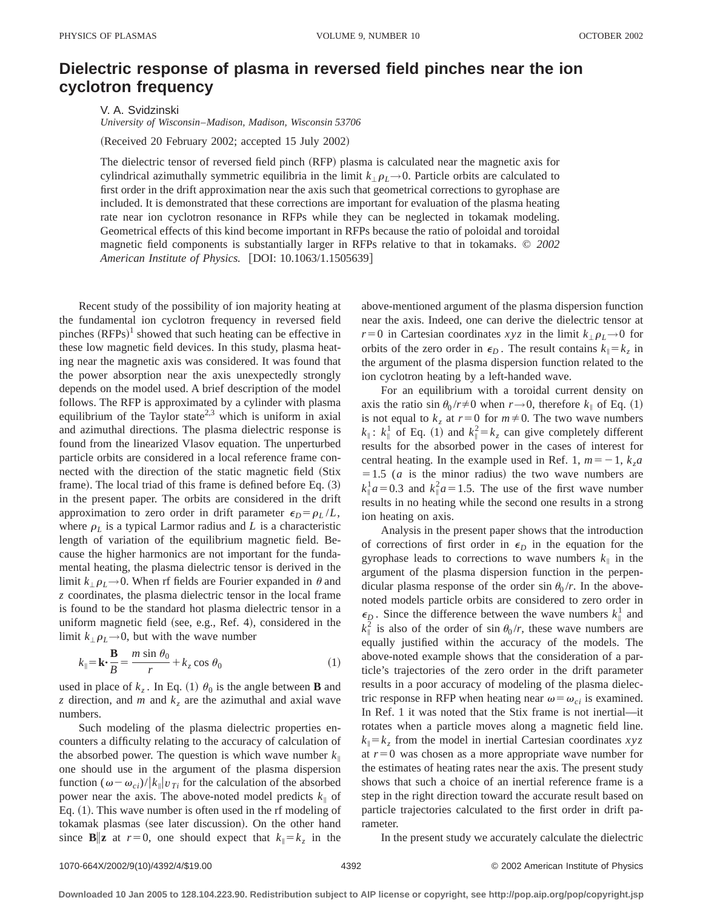## **Dielectric response of plasma in reversed field pinches near the ion cyclotron frequency**

V. A. Svidzinski *University of Wisconsin*–*Madison, Madison, Wisconsin 53706*

(Received 20 February 2002; accepted 15 July 2002)

The dielectric tensor of reversed field pinch (RFP) plasma is calculated near the magnetic axis for cylindrical azimuthally symmetric equilibria in the limit  $k_{\perp} \rho_L \rightarrow 0$ . Particle orbits are calculated to first order in the drift approximation near the axis such that geometrical corrections to gyrophase are included. It is demonstrated that these corrections are important for evaluation of the plasma heating rate near ion cyclotron resonance in RFPs while they can be neglected in tokamak modeling. Geometrical effects of this kind become important in RFPs because the ratio of poloidal and toroidal magnetic field components is substantially larger in RFPs relative to that in tokamaks. © *2002 American Institute of Physics.* [DOI: 10.1063/1.1505639]

Recent study of the possibility of ion majority heating at the fundamental ion cyclotron frequency in reversed field pinches  $(RFPs)^{1}$  showed that such heating can be effective in these low magnetic field devices. In this study, plasma heating near the magnetic axis was considered. It was found that the power absorption near the axis unexpectedly strongly depends on the model used. A brief description of the model follows. The RFP is approximated by a cylinder with plasma equilibrium of the Taylor state<sup>2,3</sup> which is uniform in axial and azimuthal directions. The plasma dielectric response is found from the linearized Vlasov equation. The unperturbed particle orbits are considered in a local reference frame connected with the direction of the static magnetic field (Stix frame). The local triad of this frame is defined before Eq.  $(3)$ in the present paper. The orbits are considered in the drift approximation to zero order in drift parameter  $\epsilon_D = \rho_L / L$ , where  $\rho_L$  is a typical Larmor radius and *L* is a characteristic length of variation of the equilibrium magnetic field. Because the higher harmonics are not important for the fundamental heating, the plasma dielectric tensor is derived in the limit  $k_{\perp} \rho_L \rightarrow 0$ . When rf fields are Fourier expanded in  $\theta$  and *z* coordinates, the plasma dielectric tensor in the local frame is found to be the standard hot plasma dielectric tensor in a uniform magnetic field (see, e.g., Ref. 4), considered in the limit  $k_{\perp} \rho_L \rightarrow 0$ , but with the wave number

$$
k_{\parallel} = \mathbf{k} \cdot \frac{\mathbf{B}}{B} = \frac{m \sin \theta_0}{r} + k_z \cos \theta_0 \tag{1}
$$

used in place of  $k_z$ . In Eq. (1)  $\theta_0$  is the angle between **B** and *z* direction, and *m* and  $k_z$  are the azimuthal and axial wave numbers.

Such modeling of the plasma dielectric properties encounters a difficulty relating to the accuracy of calculation of the absorbed power. The question is which wave number  $k_{\parallel}$ one should use in the argument of the plasma dispersion function  $(\omega - \omega_{ci})/|k_{\parallel}|v_{Ti}$  for the calculation of the absorbed power near the axis. The above-noted model predicts  $k_{\parallel}$  of Eq.  $(1)$ . This wave number is often used in the rf modeling of tokamak plasmas (see later discussion). On the other hand since **B**||**z** at  $r=0$ , one should expect that  $k_{\parallel} = k_z$  in the above-mentioned argument of the plasma dispersion function near the axis. Indeed, one can derive the dielectric tensor at *r*=0 in Cartesian coordinates *xyz* in the limit  $k_{\perp} \rho_L \rightarrow 0$  for orbits of the zero order in  $\epsilon_D$ . The result contains  $k_{\parallel} = k_z$  in the argument of the plasma dispersion function related to the ion cyclotron heating by a left-handed wave.

For an equilibrium with a toroidal current density on axis the ratio sin  $\theta_0 / r \neq 0$  when  $r \rightarrow 0$ , therefore  $k_{\parallel}$  of Eq. (1) is not equal to  $k_z$  at  $r=0$  for  $m \neq 0$ . The two wave numbers  $k_{\parallel}$ :  $k_{\parallel}^1$  of Eq. (1) and  $k_{\parallel}^2 = k_z$  can give completely different results for the absorbed power in the cases of interest for central heating. In the example used in Ref. 1,  $m = -1$ ,  $k<sub>z</sub>a$  $=1.5$  (*a* is the minor radius) the two wave numbers are  $k_{\parallel}^1 a = 0.3$  and  $k_{\parallel}^2 a = 1.5$ . The use of the first wave number results in no heating while the second one results in a strong ion heating on axis.

Analysis in the present paper shows that the introduction of corrections of first order in  $\epsilon_D$  in the equation for the gyrophase leads to corrections to wave numbers  $k_{\parallel}$  in the argument of the plasma dispersion function in the perpendicular plasma response of the order sin  $\theta_0 / r$ . In the abovenoted models particle orbits are considered to zero order in  $\epsilon_D$ . Since the difference between the wave numbers  $k_{\parallel}^1$  and  $k_{\parallel}^2$  is also of the order of sin  $\theta_0/r$ , these wave numbers are equally justified within the accuracy of the models. The above-noted example shows that the consideration of a particle's trajectories of the zero order in the drift parameter results in a poor accuracy of modeling of the plasma dielectric response in RFP when heating near  $\omega = \omega_{ci}$  is examined. In Ref. 1 it was noted that the Stix frame is not inertial—it rotates when a particle moves along a magnetic field line.  $k_{\parallel} = k_z$  from the model in inertial Cartesian coordinates *xyz* at  $r=0$  was chosen as a more appropriate wave number for the estimates of heating rates near the axis. The present study shows that such a choice of an inertial reference frame is a step in the right direction toward the accurate result based on particle trajectories calculated to the first order in drift parameter.

In the present study we accurately calculate the dielectric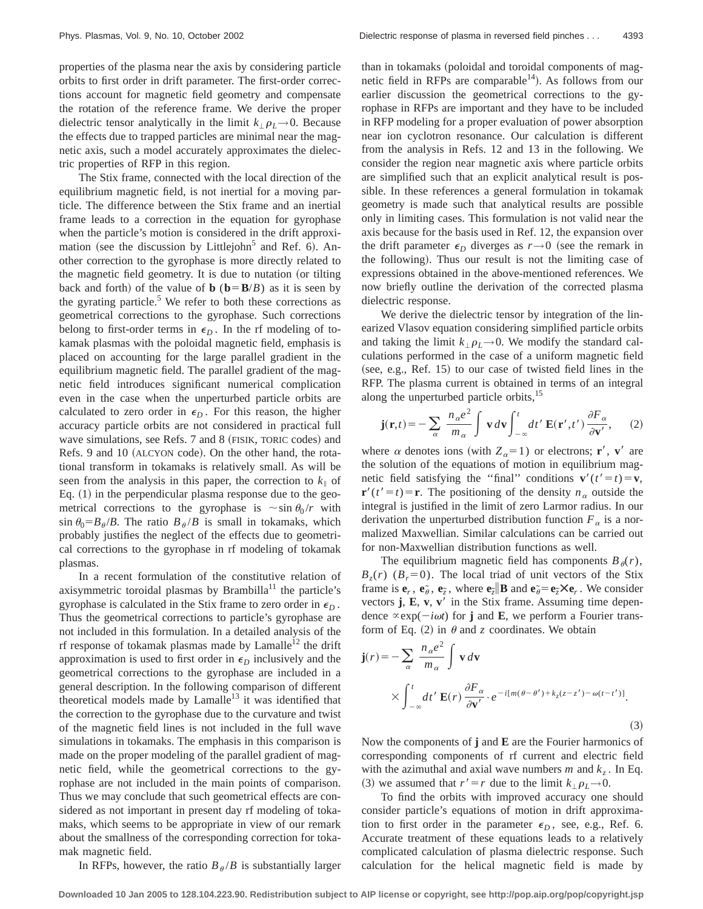properties of the plasma near the axis by considering particle orbits to first order in drift parameter. The first-order corrections account for magnetic field geometry and compensate the rotation of the reference frame. We derive the proper dielectric tensor analytically in the limit  $k_{\perp} \rho_L \rightarrow 0$ . Because the effects due to trapped particles are minimal near the magnetic axis, such a model accurately approximates the dielectric properties of RFP in this region.

The Stix frame, connected with the local direction of the equilibrium magnetic field, is not inertial for a moving particle. The difference between the Stix frame and an inertial frame leads to a correction in the equation for gyrophase when the particle's motion is considered in the drift approximation (see the discussion by Littlejohn<sup>5</sup> and Ref. 6). Another correction to the gyrophase is more directly related to the magnetic field geometry. It is due to nutation (or tilting back and forth) of the value of **b** ( $\mathbf{b} = \mathbf{B}/B$ ) as it is seen by the gyrating particle.<sup>5</sup> We refer to both these corrections as geometrical corrections to the gyrophase. Such corrections belong to first-order terms in  $\epsilon_D$ . In the rf modeling of tokamak plasmas with the poloidal magnetic field, emphasis is placed on accounting for the large parallel gradient in the equilibrium magnetic field. The parallel gradient of the magnetic field introduces significant numerical complication even in the case when the unperturbed particle orbits are calculated to zero order in  $\epsilon_D$ . For this reason, the higher accuracy particle orbits are not considered in practical full wave simulations, see Refs. 7 and 8 (FISIK, TORIC codes) and Refs. 9 and 10 (ALCYON code). On the other hand, the rotational transform in tokamaks is relatively small. As will be seen from the analysis in this paper, the correction to  $k_{\parallel}$  of Eq.  $(1)$  in the perpendicular plasma response due to the geometrical corrections to the gyrophase is  $\sim \sin \theta_0 / r$  with  $\sin \theta_0 = B_\theta / B$ . The ratio  $B_\theta / B$  is small in tokamaks, which probably justifies the neglect of the effects due to geometrical corrections to the gyrophase in rf modeling of tokamak plasmas.

In a recent formulation of the constitutive relation of axisymmetric toroidal plasmas by Brambilla<sup>11</sup> the particle's gyrophase is calculated in the Stix frame to zero order in  $\epsilon_D$ . Thus the geometrical corrections to particle's gyrophase are not included in this formulation. In a detailed analysis of the rf response of tokamak plasmas made by Lamalle<sup>12</sup> the drift approximation is used to first order in  $\epsilon_D$  inclusively and the geometrical corrections to the gyrophase are included in a general description. In the following comparison of different theoretical models made by  $Lamalle<sup>13</sup>$  it was identified that the correction to the gyrophase due to the curvature and twist of the magnetic field lines is not included in the full wave simulations in tokamaks. The emphasis in this comparison is made on the proper modeling of the parallel gradient of magnetic field, while the geometrical corrections to the gyrophase are not included in the main points of comparison. Thus we may conclude that such geometrical effects are considered as not important in present day rf modeling of tokamaks, which seems to be appropriate in view of our remark about the smallness of the corresponding correction for tokamak magnetic field.

than in tokamaks (poloidal and toroidal components of magnetic field in RFPs are comparable<sup>14</sup>). As follows from our earlier discussion the geometrical corrections to the gyrophase in RFPs are important and they have to be included in RFP modeling for a proper evaluation of power absorption near ion cyclotron resonance. Our calculation is different from the analysis in Refs. 12 and 13 in the following. We consider the region near magnetic axis where particle orbits are simplified such that an explicit analytical result is possible. In these references a general formulation in tokamak geometry is made such that analytical results are possible only in limiting cases. This formulation is not valid near the axis because for the basis used in Ref. 12, the expansion over the drift parameter  $\epsilon_D$  diverges as  $r \rightarrow 0$  (see the remark in the following). Thus our result is not the limiting case of expressions obtained in the above-mentioned references. We now briefly outline the derivation of the corrected plasma dielectric response.

We derive the dielectric tensor by integration of the linearized Vlasov equation considering simplified particle orbits and taking the limit  $k_{\perp} \rho_L \rightarrow 0$ . We modify the standard calculations performed in the case of a uniform magnetic field  $(see, e.g., Ref. 15)$  to our case of twisted field lines in the RFP. The plasma current is obtained in terms of an integral along the unperturbed particle orbits,<sup>15</sup>

$$
\mathbf{j}(\mathbf{r},t) = -\sum_{\alpha} \frac{n_{\alpha}e^2}{m_{\alpha}} \int \mathbf{v} \, d\mathbf{v} \int_{-\infty}^t dt' \, \mathbf{E}(\mathbf{r}',t') \, \frac{\partial F_{\alpha}}{\partial \mathbf{v}'},\qquad(2)
$$

where  $\alpha$  denotes ions (with  $Z_{\alpha} = 1$ ) or electrons; **r**', **v**' are the solution of the equations of motion in equilibrium magnetic field satisfying the "final" conditions  $\mathbf{v}'(t'=t)=\mathbf{v}$ ,  $\mathbf{r}'(t'=t) = \mathbf{r}$ . The positioning of the density  $n_a$  outside the integral is justified in the limit of zero Larmor radius. In our derivation the unperturbed distribution function  $F_a$  is a normalized Maxwellian. Similar calculations can be carried out for non-Maxwellian distribution functions as well.

The equilibrium magnetic field has components  $B_{\theta}(r)$ ,  $B_7(r)$  ( $B_7=0$ ). The local triad of unit vectors of the Stix frame is  $e_r$ ,  $e_{\tilde{\theta}}$ ,  $e_{\tilde{z}}$ , where  $e_{\tilde{z}} \parallel \mathbf{B}$  and  $e_{\theta} \in e_{\tilde{z}} \times e_r$ . We consider vectors  $\mathbf{j}$ ,  $\mathbf{E}$ ,  $\mathbf{v}$ ,  $\mathbf{v}'$  in the Stix frame. Assuming time dependence  $\propto$ exp( $-i\omega t$ ) for **j** and **E**, we perform a Fourier transform of Eq.  $(2)$  in  $\theta$  and *z* coordinates. We obtain

$$
\mathbf{j}(r) = -\sum_{\alpha} \frac{n_{\alpha}e^2}{m_{\alpha}} \int \mathbf{v} d\mathbf{v}
$$
  
 
$$
\times \int_{-\infty}^{t} dt' \mathbf{E}(r) \frac{\partial F_{\alpha}}{\partial \mathbf{v}'} \cdot e^{-i[m(\theta - \theta') + k_z(z - z') - \omega(t - t')]}. \tag{3}
$$

Now the components of **j** and **E** are the Fourier harmonics of corresponding components of rf current and electric field with the azimuthal and axial wave numbers  $m$  and  $k_z$ . In Eq. (3) we assumed that  $r' = r$  due to the limit  $k_{\perp} \rho_L \rightarrow 0$ .

To find the orbits with improved accuracy one should consider particle's equations of motion in drift approximation to first order in the parameter  $\epsilon_D$ , see, e.g., Ref. 6. Accurate treatment of these equations leads to a relatively complicated calculation of plasma dielectric response. Such calculation for the helical magnetic field is made by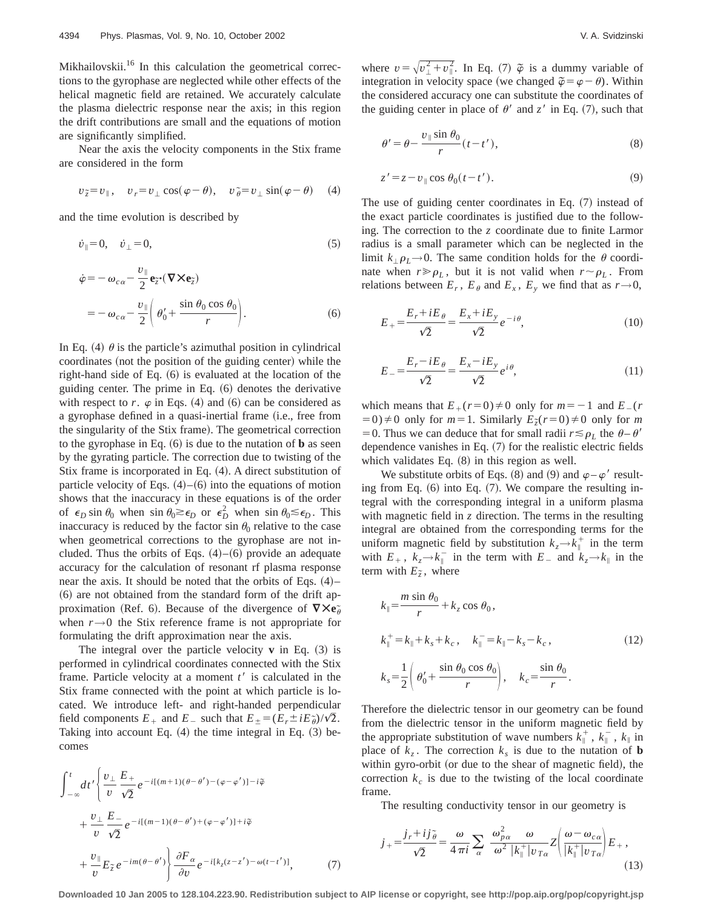Mikhailovskii.<sup>16</sup> In this calculation the geometrical corrections to the gyrophase are neglected while other effects of the helical magnetic field are retained. We accurately calculate the plasma dielectric response near the axis; in this region the drift contributions are small and the equations of motion are significantly simplified.

Near the axis the velocity components in the Stix frame are considered in the form

$$
v_{\tilde{z}} = v_{\parallel}, \quad v_r = v_{\perp} \cos(\varphi - \theta), \quad v_{\tilde{\theta}} = v_{\perp} \sin(\varphi - \theta) \quad (4)
$$

and the time evolution is described by

$$
\dot{v}_{\parallel} = 0, \quad \dot{v}_{\perp} = 0,\tag{5}
$$

$$
\begin{split} \dot{\varphi} &= -\,\omega_{c\,\alpha} - \frac{v_{\parallel}}{2} \mathbf{e}_{\tilde{z}} \cdot (\nabla \times \mathbf{e}_{\tilde{z}}) \\ &= -\,\omega_{c\,\alpha} - \frac{v_{\parallel}}{2} \bigg( \,\theta_{0}^{\prime} + \frac{\sin\,\theta_{0}\cos\,\theta_{0}}{r} \bigg). \end{split} \tag{6}
$$

In Eq. (4)  $\theta$  is the particle's azimuthal position in cylindrical coordinates (not the position of the guiding center) while the right-hand side of Eq.  $(6)$  is evaluated at the location of the guiding center. The prime in Eq.  $(6)$  denotes the derivative with respect to  $r$ .  $\varphi$  in Eqs. (4) and (6) can be considered as a gyrophase defined in a quasi-inertial frame (i.e., free from the singularity of the Stix frame). The geometrical correction to the gyrophase in Eq.  $(6)$  is due to the nutation of **b** as seen by the gyrating particle. The correction due to twisting of the Stix frame is incorporated in Eq.  $(4)$ . A direct substitution of particle velocity of Eqs.  $(4)$ – $(6)$  into the equations of motion shows that the inaccuracy in these equations is of the order of  $\epsilon_D$  sin  $\theta_0$  when sin  $\theta_0 \gtrsim \epsilon_D$  or  $\epsilon_D^2$  when sin  $\theta_0 \le \epsilon_D$ . This inaccuracy is reduced by the factor sin  $\theta_0$  relative to the case when geometrical corrections to the gyrophase are not included. Thus the orbits of Eqs.  $(4)$ – $(6)$  provide an adequate accuracy for the calculation of resonant rf plasma response near the axis. It should be noted that the orbits of Eqs.  $(4)$ –  $(6)$  are not obtained from the standard form of the drift approximation (Ref. 6). Because of the divergence of  $\nabla \times \mathbf{e}_{\theta}$ when  $r \rightarrow 0$  the Stix reference frame is not appropriate for formulating the drift approximation near the axis.

The integral over the particle velocity  $\bf{v}$  in Eq.  $(3)$  is performed in cylindrical coordinates connected with the Stix frame. Particle velocity at a moment  $t<sup>3</sup>$  is calculated in the Stix frame connected with the point at which particle is located. We introduce left- and right-handed perpendicular field components  $E_+$  and  $E_-$  such that  $E_{\pm} = (E_r \pm iE_{\theta}^2)/\sqrt{2}$ . Taking into account Eq.  $(4)$  the time integral in Eq.  $(3)$  becomes

$$
\int_{-\infty}^{t} dt' \left\{ \frac{v_{\perp}}{v} \frac{E_{+}}{\sqrt{2}} e^{-i[(m+1)(\theta - \theta') - (\varphi - \varphi')] - i\tilde{\varphi}} \right.\n+ \frac{v_{\perp}}{v} \frac{E_{-}}{\sqrt{2}} e^{-i[(m-1)(\theta - \theta') + (\varphi - \varphi')] + i\tilde{\varphi}} \n+ \frac{v_{\parallel}}{v} E_{\tilde{z}} e^{-im(\theta - \theta')} \left\{ \frac{\partial F_{\alpha}}{\partial v} e^{-i[k_{z}(z - z') - \omega(t - t')]}, \right. \tag{7}
$$

where  $v = \sqrt{v_{\perp}^2 + v_{\parallel}^2}$ . In Eq. (7)  $\tilde{\varphi}$  is a dummy variable of integration in velocity space (we changed  $\tilde{\varphi} = \varphi - \theta$ ). Within the considered accuracy one can substitute the coordinates of the guiding center in place of  $\theta'$  and  $z'$  in Eq. (7), such that

$$
\theta' = \theta - \frac{v_{\parallel} \sin \theta_0}{r} (t - t'),\tag{8}
$$

$$
z' = z - v_{\parallel} \cos \theta_0 (t - t'). \tag{9}
$$

The use of guiding center coordinates in Eq.  $(7)$  instead of the exact particle coordinates is justified due to the following. The correction to the *z* coordinate due to finite Larmor radius is a small parameter which can be neglected in the limit  $k_{\perp} \rho_L \rightarrow 0$ . The same condition holds for the  $\theta$  coordinate when  $r \gg \rho_L$ , but it is not valid when  $r \sim \rho_L$ . From relations between  $E_r$ ,  $E_\theta$  and  $E_x$ ,  $E_y$  we find that as  $r \rightarrow 0$ ,

$$
E_{+} = \frac{E_r + iE_\theta}{\sqrt{2}} = \frac{E_x + iE_y}{\sqrt{2}} e^{-i\theta},\tag{10}
$$

$$
E_{-} = \frac{E_r - iE_\theta}{\sqrt{2}} = \frac{E_x - iE_y}{\sqrt{2}} e^{i\theta},\tag{11}
$$

which means that  $E_+(r=0) \neq 0$  only for  $m=-1$  and  $E_-(r=0)$  $(50 \neq 0) \neq 0$  only for  $m=1$ . Similarly  $E_z(r=0) \neq 0$  only for  $m=1$ . = 0. Thus we can deduce that for small radii  $r \leq \rho_L$  the  $\theta - \theta'$ dependence vanishes in Eq.  $(7)$  for the realistic electric fields which validates Eq.  $(8)$  in this region as well.

We substitute orbits of Eqs. (8) and (9) and  $\varphi - \varphi'$  resulting from Eq.  $(6)$  into Eq.  $(7)$ . We compare the resulting integral with the corresponding integral in a uniform plasma with magnetic field in *z* direction. The terms in the resulting integral are obtained from the corresponding terms for the uniform magnetic field by substitution  $k_z \rightarrow k_{\parallel}^+$  in the term with  $E_+$ ,  $k_z \rightarrow k_{\parallel}^-$  in the term with  $E_-$  and  $k_z \rightarrow k_{\parallel}$  in the term with  $E_{\tilde{z}}$ , where

$$
k_{\parallel} = \frac{m \sin \theta_0}{r} + k_z \cos \theta_0,
$$
  
\n
$$
k_{\parallel}^+ = k_{\parallel} + k_s + k_c, \quad k_{\parallel}^- = k_{\parallel} - k_s - k_c,
$$
  
\n
$$
k_s = \frac{1}{2} \left( \theta_0' + \frac{\sin \theta_0 \cos \theta_0}{r} \right), \quad k_c = \frac{\sin \theta_0}{r}.
$$
\n(12)

Therefore the dielectric tensor in our geometry can be found from the dielectric tensor in the uniform magnetic field by the appropriate substitution of wave numbers  $k_{\parallel}^+$ ,  $k_{\parallel}^-$ ,  $k_{\parallel}$  in place of  $k_z$ . The correction  $k_s$  is due to the nutation of **b** within gyro-orbit (or due to the shear of magnetic field), the correction  $k<sub>c</sub>$  is due to the twisting of the local coordinate frame.

The resulting conductivity tensor in our geometry is

$$
j_{+} = \frac{j_{r} + ij\tilde{\theta}}{\sqrt{2}} = \frac{\omega}{4\pi i} \sum_{\alpha} \frac{\omega_{p\alpha}^{2}}{\omega^{2}} \frac{\omega}{|k_{\parallel}^{+}|v_{T\alpha}} Z\left(\frac{\omega - \omega_{c\alpha}}{|k_{\parallel}^{+}|v_{T\alpha}}\right) E_{+} ,
$$
\n(13)

**Downloaded 10 Jan 2005 to 128.104.223.90. Redistribution subject to AIP license or copyright, see http://pop.aip.org/pop/copyright.jsp**